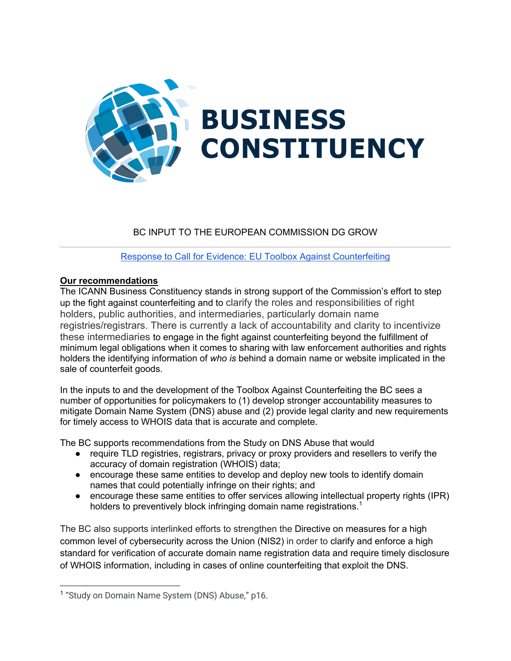

# BC INPUT TO THE EUROPEAN COMMISSION DG GROW

Response to Call for Evidence: EU Toolbox Against Counterfeiting

## **Our recommendations**

The ICANN Business Constituency stands in strong support of the Commission's effort to step up the fight against counterfeiting and to clarify the roles and responsibilities of right holders, public authorities, and intermediaries, particularly domain name registries/registrars. There is currently a lack of accountability and clarity to incentivize these intermediaries to engage in the fight against counterfeiting beyond the fulfillment of minimum legal obligations when it comes to sharing with law enforcement authorities and rights holders the identifying information of *who is* behind a domain name or website implicated in the sale of counterfeit goods.

In the inputs to and the development of the Toolbox Against Counterfeiting the BC sees a number of opportunities for policymakers to (1) develop stronger accountability measures to mitigate Domain Name System (DNS) abuse and (2) provide legal clarity and new requirements for timely access to WHOIS data that is accurate and complete.

The BC supports recommendations from the Study on DNS Abuse that would

- require TLD registries, registrars, privacy or proxy providers and resellers to verify the accuracy of domain registration (WHOIS) data;
- encourage these same entities to develop and deploy new tools to identify domain names that could potentially infringe on their rights; and
- encourage these same entities to offer services allowing intellectual property rights (IPR) holders to preventively block infringing domain name registrations.<sup>1</sup>

The BC also supports interlinked efforts to strengthen the Directive on measures for a high common level of cybersecurity across the Union (NIS2) in order to clarify and enforce a high standard for verification of accurate domain name registration data and require timely disclosure of WHOIS information, including in cases of online counterfeiting that exploit the DNS.

<sup>&</sup>lt;sup>1</sup> "Study on Domain Name System (DNS) Abuse," p16.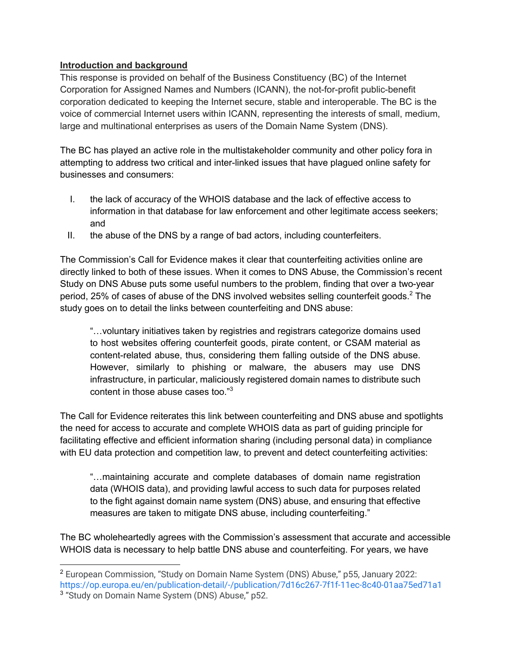### **Introduction and background**

This response is provided on behalf of the Business Constituency (BC) of the Internet Corporation for Assigned Names and Numbers (ICANN), the not-for-profit public-benefit corporation dedicated to keeping the Internet secure, stable and interoperable. The BC is the voice of commercial Internet users within ICANN, representing the interests of small, medium, large and multinational enterprises as users of the Domain Name System (DNS).

The BC has played an active role in the multistakeholder community and other policy fora in attempting to address two critical and inter-linked issues that have plagued online safety for businesses and consumers:

- I. the lack of accuracy of the WHOIS database and the lack of effective access to information in that database for law enforcement and other legitimate access seekers; and
- II. the abuse of the DNS by a range of bad actors, including counterfeiters.

The Commission's Call for Evidence makes it clear that counterfeiting activities online are directly linked to both of these issues. When it comes to DNS Abuse, the Commission's recent Study on DNS Abuse puts some useful numbers to the problem, finding that over a two-year period, 25% of cases of abuse of the DNS involved websites selling counterfeit goods.<sup>2</sup> The study goes on to detail the links between counterfeiting and DNS abuse:

"…voluntary initiatives taken by registries and registrars categorize domains used to host websites offering counterfeit goods, pirate content, or CSAM material as content-related abuse, thus, considering them falling outside of the DNS abuse. However, similarly to phishing or malware, the abusers may use DNS infrastructure, in particular, maliciously registered domain names to distribute such content in those abuse cases too."<sup>3</sup>

The Call for Evidence reiterates this link between counterfeiting and DNS abuse and spotlights the need for access to accurate and complete WHOIS data as part of guiding principle for facilitating effective and efficient information sharing (including personal data) in compliance with EU data protection and competition law, to prevent and detect counterfeiting activities:

"…maintaining accurate and complete databases of domain name registration data (WHOIS data), and providing lawful access to such data for purposes related to the fight against domain name system (DNS) abuse, and ensuring that effective measures are taken to mitigate DNS abuse, including counterfeiting."

The BC wholeheartedly agrees with the Commission's assessment that accurate and accessible WHOIS data is necessary to help battle DNS abuse and counterfeiting. For years, we have

<sup>2</sup> European Commission, "Study on Domain Name System (DNS) Abuse," p55, January 2022: https://op.europa.eu/en/publication-detail/-/publication/7d16c267-7f1f-11ec-8c40-01aa75ed71a1 <sup>3</sup> "Study on Domain Name System (DNS) Abuse," p52.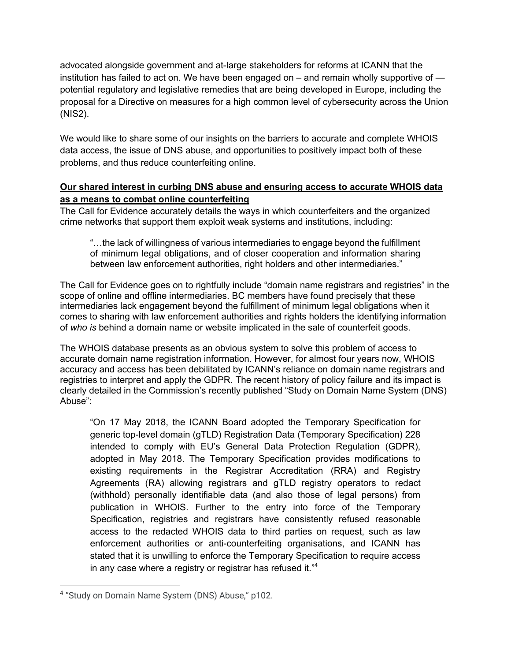advocated alongside government and at-large stakeholders for reforms at ICANN that the institution has failed to act on. We have been engaged on – and remain wholly supportive of potential regulatory and legislative remedies that are being developed in Europe, including the proposal for a Directive on measures for a high common level of cybersecurity across the Union (NIS2).

We would like to share some of our insights on the barriers to accurate and complete WHOIS data access, the issue of DNS abuse, and opportunities to positively impact both of these problems, and thus reduce counterfeiting online.

### **Our shared interest in curbing DNS abuse and ensuring access to accurate WHOIS data as a means to combat online counterfeiting**

The Call for Evidence accurately details the ways in which counterfeiters and the organized crime networks that support them exploit weak systems and institutions, including:

"…the lack of willingness of various intermediaries to engage beyond the fulfillment of minimum legal obligations, and of closer cooperation and information sharing between law enforcement authorities, right holders and other intermediaries."

The Call for Evidence goes on to rightfully include "domain name registrars and registries" in the scope of online and offline intermediaries. BC members have found precisely that these intermediaries lack engagement beyond the fulfillment of minimum legal obligations when it comes to sharing with law enforcement authorities and rights holders the identifying information of *who is* behind a domain name or website implicated in the sale of counterfeit goods.

The WHOIS database presents as an obvious system to solve this problem of access to accurate domain name registration information. However, for almost four years now, WHOIS accuracy and access has been debilitated by ICANN's reliance on domain name registrars and registries to interpret and apply the GDPR. The recent history of policy failure and its impact is clearly detailed in the Commission's recently published "Study on Domain Name System (DNS) Abuse":

"On 17 May 2018, the ICANN Board adopted the Temporary Specification for generic top-level domain (gTLD) Registration Data (Temporary Specification) 228 intended to comply with EU's General Data Protection Regulation (GDPR), adopted in May 2018. The Temporary Specification provides modifications to existing requirements in the Registrar Accreditation (RRA) and Registry Agreements (RA) allowing registrars and gTLD registry operators to redact (withhold) personally identifiable data (and also those of legal persons) from publication in WHOIS. Further to the entry into force of the Temporary Specification, registries and registrars have consistently refused reasonable access to the redacted WHOIS data to third parties on request, such as law enforcement authorities or anti-counterfeiting organisations, and ICANN has stated that it is unwilling to enforce the Temporary Specification to require access in any case where a registry or registrar has refused it."<sup>4</sup>

<sup>4</sup> "Study on Domain Name System (DNS) Abuse," p102.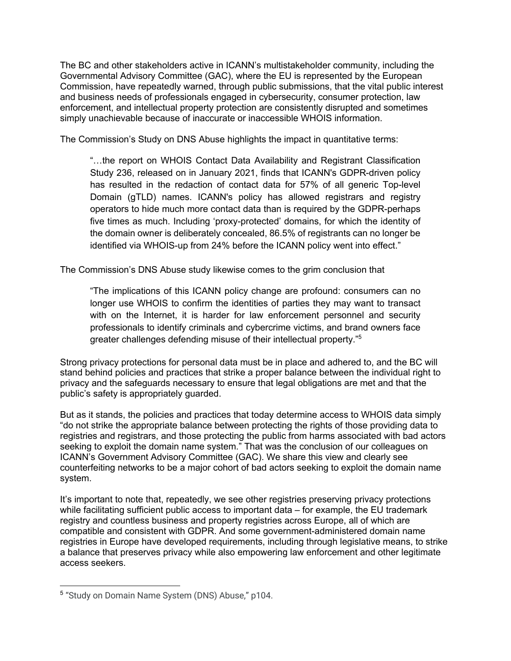The BC and other stakeholders active in ICANN's multistakeholder community, including the Governmental Advisory Committee (GAC), where the EU is represented by the European Commission, have repeatedly warned, through public submissions, that the vital public interest and business needs of professionals engaged in cybersecurity, consumer protection, law enforcement, and intellectual property protection are consistently disrupted and sometimes simply unachievable because of inaccurate or inaccessible WHOIS information.

The Commission's Study on DNS Abuse highlights the impact in quantitative terms:

"…the report on WHOIS Contact Data Availability and Registrant Classification Study 236, released on in January 2021, finds that ICANN's GDPR-driven policy has resulted in the redaction of contact data for 57% of all generic Top-level Domain (gTLD) names. ICANN's policy has allowed registrars and registry operators to hide much more contact data than is required by the GDPR-perhaps five times as much. Including 'proxy-protected' domains, for which the identity of the domain owner is deliberately concealed, 86.5% of registrants can no longer be identified via WHOIS-up from 24% before the ICANN policy went into effect."

The Commission's DNS Abuse study likewise comes to the grim conclusion that

"The implications of this ICANN policy change are profound: consumers can no longer use WHOIS to confirm the identities of parties they may want to transact with on the Internet, it is harder for law enforcement personnel and security professionals to identify criminals and cybercrime victims, and brand owners face greater challenges defending misuse of their intellectual property." 5

Strong privacy protections for personal data must be in place and adhered to, and the BC will stand behind policies and practices that strike a proper balance between the individual right to privacy and the safeguards necessary to ensure that legal obligations are met and that the public's safety is appropriately guarded.

But as it stands, the policies and practices that today determine access to WHOIS data simply "do not strike the appropriate balance between protecting the rights of those providing data to registries and registrars, and those protecting the public from harms associated with bad actors seeking to exploit the domain name system." That was the conclusion of our colleagues on ICANN's Government Advisory Committee (GAC). We share this view and clearly see counterfeiting networks to be a major cohort of bad actors seeking to exploit the domain name system.

It's important to note that, repeatedly, we see other registries preserving privacy protections while facilitating sufficient public access to important data – for example, the EU trademark registry and countless business and property registries across Europe, all of which are compatible and consistent with GDPR. And some government-administered domain name registries in Europe have developed requirements, including through legislative means, to strike a balance that preserves privacy while also empowering law enforcement and other legitimate access seekers.

<sup>5</sup> "Study on Domain Name System (DNS) Abuse," p104.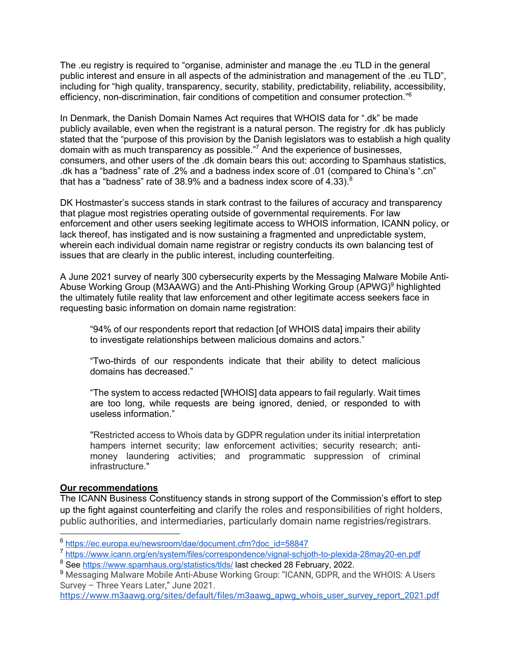The .eu registry is required to "organise, administer and manage the .eu TLD in the general public interest and ensure in all aspects of the administration and management of the .eu TLD", including for "high quality, transparency, security, stability, predictability, reliability, accessibility, efficiency, non-discrimination, fair conditions of competition and consumer protection."6

In Denmark, the Danish Domain Names Act requires that WHOIS data for ".dk" be made publicly available, even when the registrant is a natural person. The registry for .dk has publicly stated that the "purpose of this provision by the Danish legislators was to establish a high quality domain with as much transparency as possible."7 And the experience of businesses, consumers, and other users of the .dk domain bears this out: according to Spamhaus statistics, .dk has a "badness" rate of .2% and a badness index score of .01 (compared to China's ".cn" that has a "badness" rate of 38.9% and a badness index score of  $4.33$ ).<sup>8</sup>

DK Hostmaster's success stands in stark contrast to the failures of accuracy and transparency that plague most registries operating outside of governmental requirements. For law enforcement and other users seeking legitimate access to WHOIS information, ICANN policy, or lack thereof, has instigated and is now sustaining a fragmented and unpredictable system, wherein each individual domain name registrar or registry conducts its own balancing test of issues that are clearly in the public interest, including counterfeiting.

A June 2021 survey of nearly 300 cybersecurity experts by the Messaging Malware Mobile Anti-Abuse Working Group (M3AAWG) and the Anti-Phishing Working Group (APWG)<sup>9</sup> highlighted the ultimately futile reality that law enforcement and other legitimate access seekers face in requesting basic information on domain name registration:

"94% of our respondents report that redaction [of WHOIS data] impairs their ability to investigate relationships between malicious domains and actors."

"Two-thirds of our respondents indicate that their ability to detect malicious domains has decreased."

"The system to access redacted [WHOIS] data appears to fail regularly. Wait times are too long, while requests are being ignored, denied, or responded to with useless information."

"Restricted access to Whois data by GDPR regulation under its initial interpretation hampers internet security; law enforcement activities; security research; antimoney laundering activities; and programmatic suppression of criminal infrastructure."

#### **Our recommendations**

The ICANN Business Constituency stands in strong support of the Commission's effort to step up the fight against counterfeiting and clarify the roles and responsibilities of right holders, public authorities, and intermediaries, particularly domain name registries/registrars.

<sup>6</sup> https://ec.europa.eu/newsroom/dae/document.cfm?doc\_id=58847

<sup>7</sup> https://www.icann.org/en/system/files/correspondence/vignal-schjoth-to-plexida-28may20-en.pdf

<sup>&</sup>lt;sup>8</sup> See https://www.spamhaus.org/statistics/tlds/ last checked 28 February, 2022.

<sup>&</sup>lt;sup>9</sup> Messaging Malware Mobile Anti-Abuse Working Group: "ICANN, GDPR, and the WHOIS: A Users Survey – Three Years Later," June 2021.

https://www.m3aawg.org/sites/default/files/m3aawg\_apwg\_whois\_user\_survey\_report\_2021.pdf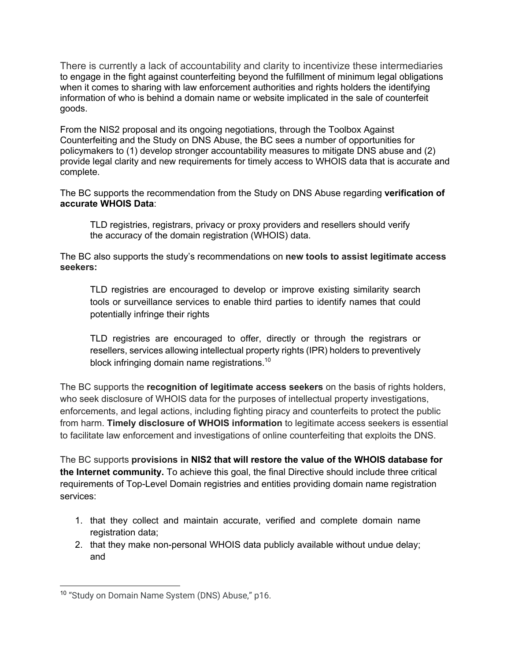There is currently a lack of accountability and clarity to incentivize these intermediaries to engage in the fight against counterfeiting beyond the fulfillment of minimum legal obligations when it comes to sharing with law enforcement authorities and rights holders the identifying information of who is behind a domain name or website implicated in the sale of counterfeit goods.

From the NIS2 proposal and its ongoing negotiations, through the Toolbox Against Counterfeiting and the Study on DNS Abuse, the BC sees a number of opportunities for policymakers to (1) develop stronger accountability measures to mitigate DNS abuse and (2) provide legal clarity and new requirements for timely access to WHOIS data that is accurate and complete.

The BC supports the recommendation from the Study on DNS Abuse regarding **verification of accurate WHOIS Data**:

TLD registries, registrars, privacy or proxy providers and resellers should verify the accuracy of the domain registration (WHOIS) data.

The BC also supports the study's recommendations on **new tools to assist legitimate access seekers:**

TLD registries are encouraged to develop or improve existing similarity search tools or surveillance services to enable third parties to identify names that could potentially infringe their rights

TLD registries are encouraged to offer, directly or through the registrars or resellers, services allowing intellectual property rights (IPR) holders to preventively block infringing domain name registrations.<sup>10</sup>

The BC supports the **recognition of legitimate access seekers** on the basis of rights holders, who seek disclosure of WHOIS data for the purposes of intellectual property investigations, enforcements, and legal actions, including fighting piracy and counterfeits to protect the public from harm. **Timely disclosure of WHOIS information** to legitimate access seekers is essential to facilitate law enforcement and investigations of online counterfeiting that exploits the DNS.

The BC supports **provisions in NIS2 that will restore the value of the WHOIS database for the Internet community.** To achieve this goal, the final Directive should include three critical requirements of Top-Level Domain registries and entities providing domain name registration services:

- 1. that they collect and maintain accurate, verified and complete domain name registration data;
- 2. that they make non-personal WHOIS data publicly available without undue delay; and

<sup>&</sup>lt;sup>10</sup> "Study on Domain Name System (DNS) Abuse," p16.